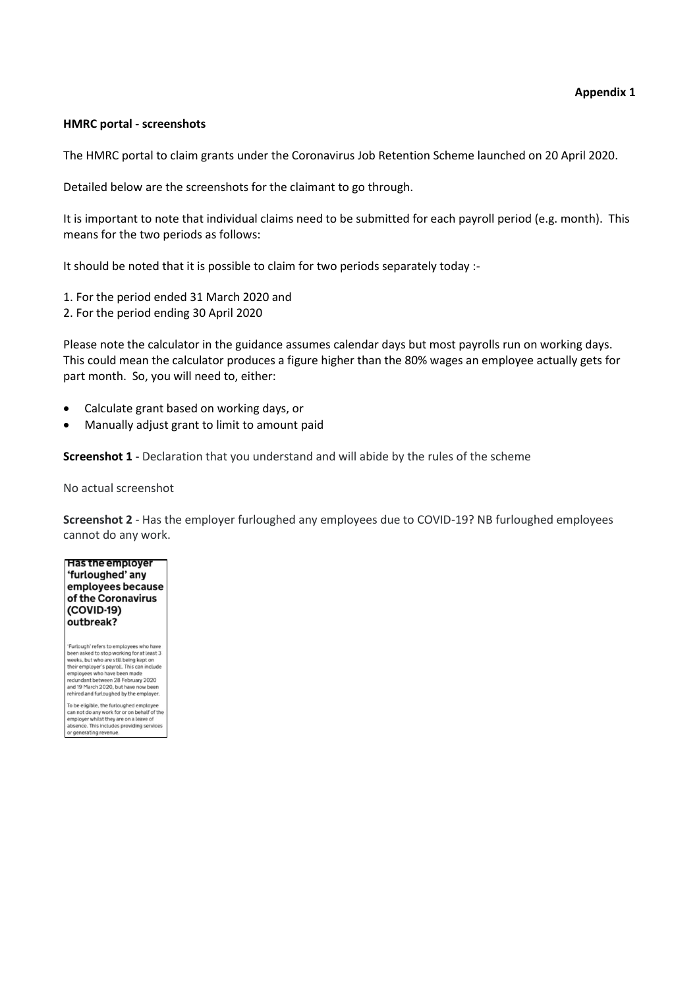## **HMRC portal - screenshots**

The HMRC portal to claim grants under the Coronavirus Job Retention Scheme launched on 20 April 2020.

Detailed below are the screenshots for the claimant to go through.

It is important to note that individual claims need to be submitted for each payroll period (e.g. month). This means for the two periods as follows:

It should be noted that it is possible to claim for two periods separately today :-

1. For the period ended 31 March 2020 and

2. For the period ending 30 April 2020

Please note the calculator in the guidance assumes calendar days but most payrolls run on working days. This could mean the calculator produces a figure higher than the 80% wages an employee actually gets for part month. So, you will need to, either:

- Calculate grant based on working days, or
- Manually adjust grant to limit to amount paid

**Screenshot 1** - Declaration that you understand and will abide by the rules of the scheme

No actual screenshot

**Screenshot 2** - Has the employer furloughed any employees due to COVID-19? NB furloughed employees cannot do any work.



"Furlough" refers to employees who have<br>been asked to stop working for at least 3<br>weeks, but who are still being kept on<br>their employer's payroll. This can include<br>employees who have been made<br>redundant between 28 February

To be eligible, the furloughed employee<br>can not do any work for or on behalf of the<br>employer whilst they are on a leave of<br>absence. This includes providing services or generating revenue.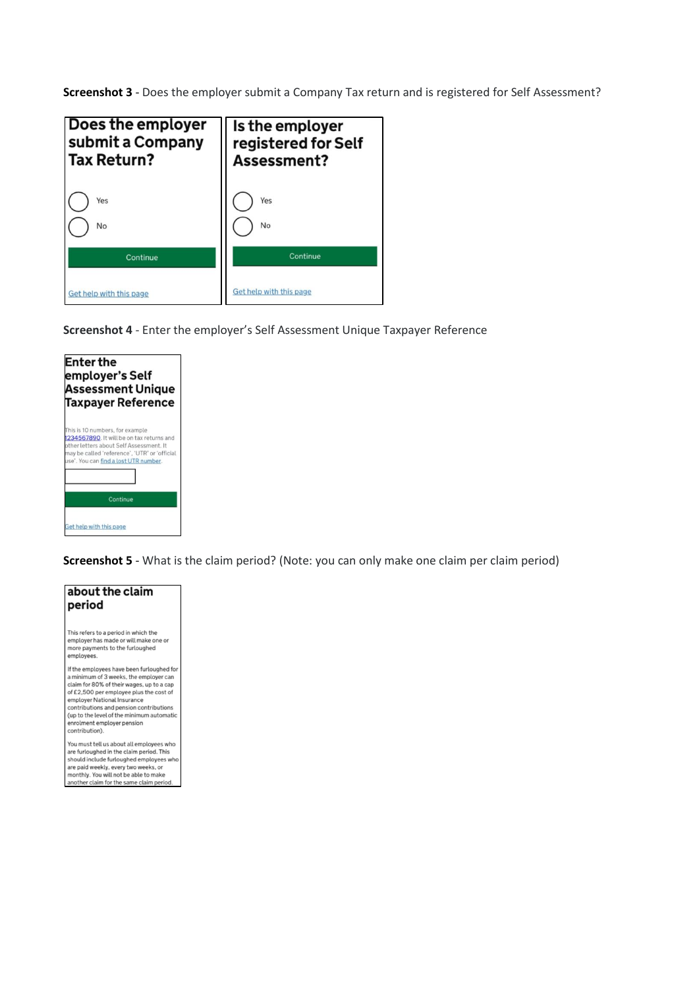**Screenshot 3** - Does the employer submit a Company Tax return and is registered for Self Assessment?



**Screenshot 4** - Enter the employer's Self Assessment Unique Taxpayer Reference



**Screenshot 5** - What is the claim period? (Note: you can only make one claim per claim period)

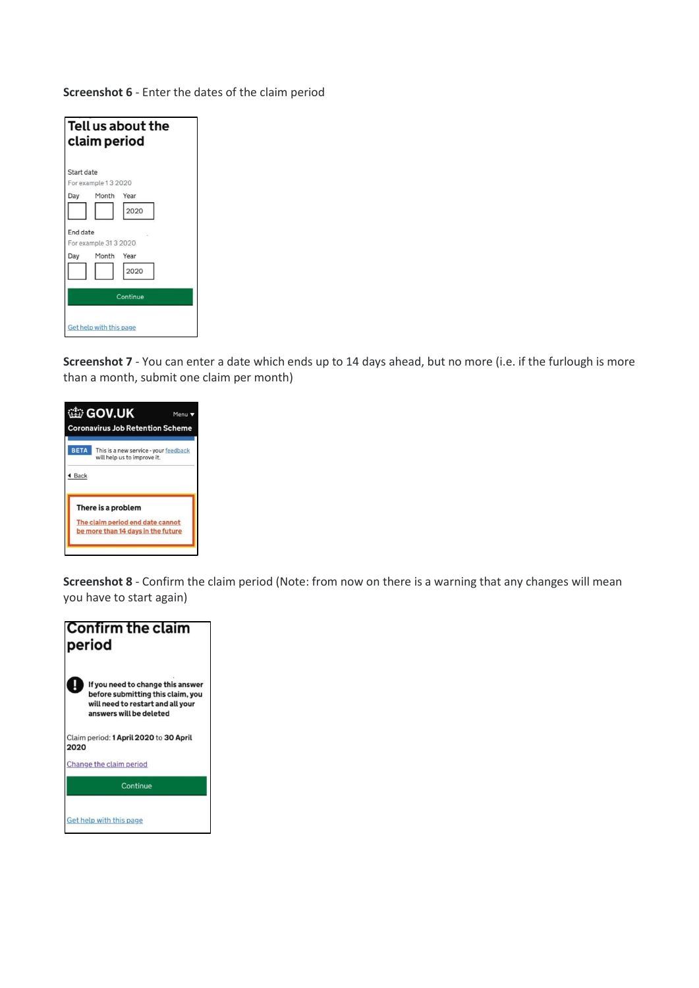**Screenshot 6** - Enter the dates of the claim period

| Tell us about the<br>claim period |  |  |  |
|-----------------------------------|--|--|--|
| Start date                        |  |  |  |
| For example 13 2020               |  |  |  |
| Month<br>Day<br>Year              |  |  |  |
| 2020                              |  |  |  |
| End date<br>For example 31 3 2020 |  |  |  |
| Month<br>Day<br>Year              |  |  |  |
| 2020                              |  |  |  |
| Continue                          |  |  |  |
| Get help with this page           |  |  |  |

**Screenshot 7** - You can enter a date which ends up to 14 days ahead, but no more (i.e. if the furlough is more than a month, submit one claim per month)



**Screenshot 8** - Confirm the claim period (Note: from now on there is a warning that any changes will mean you have to start again)

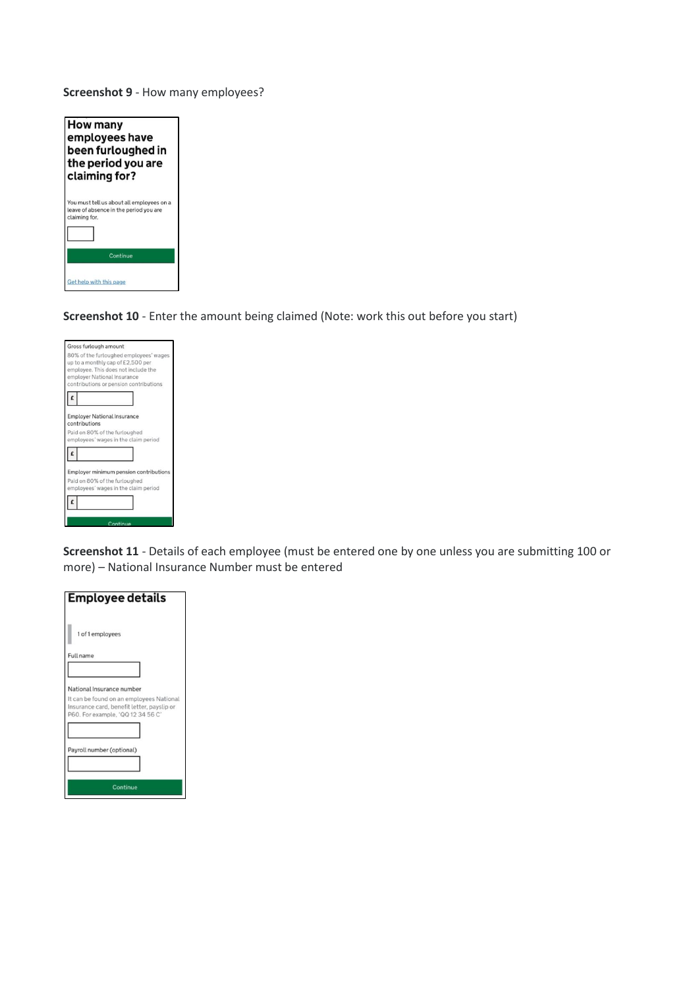**Screenshot 9** - How many employees?

| How many<br>employees have<br>been furloughed in<br>the period you are<br>claiming for?              |
|------------------------------------------------------------------------------------------------------|
| You must tell us about all employees on a<br>leave of absence in the period you are<br>claiming for. |
| Continue                                                                                             |
| Get help with this page                                                                              |

**Screenshot 10** - Enter the amount being claimed (Note: work this out before you start)

| Gross furlough amount                                                                                                                                                                       |  |
|---------------------------------------------------------------------------------------------------------------------------------------------------------------------------------------------|--|
| 80% of the furloughed employees' wages<br>up to a monthly cap of £2,500 per<br>employee. This does not include the<br>employer National Insurance<br>contributions or pension contributions |  |
|                                                                                                                                                                                             |  |
| <b>Employer National Insurance</b><br>contributions<br>Paid on 80% of the furloughed<br>employees' wages in the claim period                                                                |  |
|                                                                                                                                                                                             |  |
| Employer minimum pension contributions<br>Paid on 80% of the furloughed<br>employees' wages in the claim period                                                                             |  |
| Continue                                                                                                                                                                                    |  |

**Screenshot 11** - Details of each employee (must be entered one by one unless you are submitting 100 or more) – National Insurance Number must be entered

| <b>Employee details</b>                                                                                                     |
|-----------------------------------------------------------------------------------------------------------------------------|
| 1 of 1 employees                                                                                                            |
| Full name                                                                                                                   |
|                                                                                                                             |
| National Insurance number                                                                                                   |
| It can be found on an employees National<br>Insurance card, benefit letter, payslip or<br>P60. For example, 'QQ 12 34 56 C' |
|                                                                                                                             |
| Payroll number (optional)                                                                                                   |
|                                                                                                                             |
| Continue                                                                                                                    |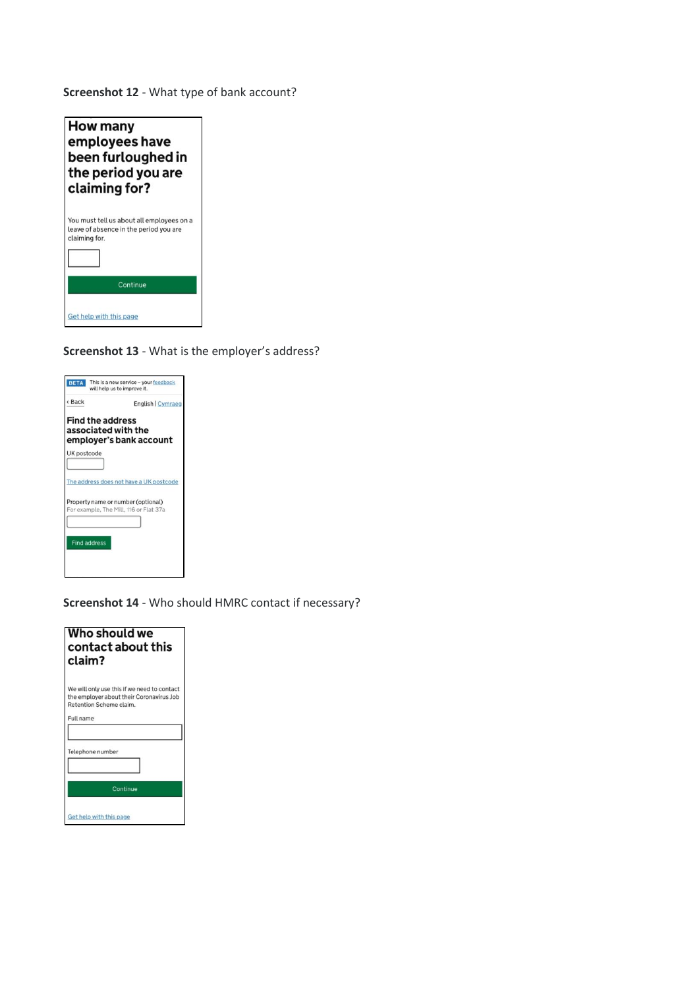**Screenshot 12** - What type of bank account?



**Screenshot 13** - What is the employer's address?

| <b>BETA</b>                                     | This is a new service - your feedback<br>will help us to improve it.         |
|-------------------------------------------------|------------------------------------------------------------------------------|
| <back< th=""><th>English   Cymraeg</th></back<> | English   Cymraeg                                                            |
| <b>Find the address</b><br>associated with the  | employer's bank account                                                      |
| UK postcode                                     |                                                                              |
|                                                 | The address does not have a UK postcode                                      |
|                                                 | Property name or number (optional)<br>For example, The Mill, 116 or Flat 37a |
| <b>Find address</b>                             |                                                                              |

**Screenshot 14** - Who should HMRC contact if necessary?